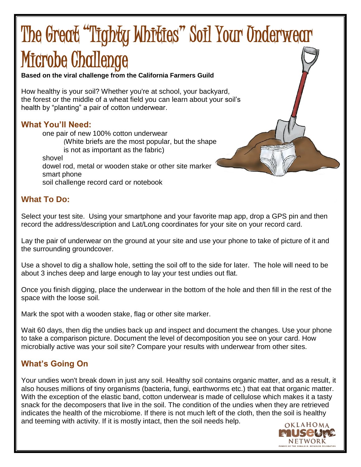# The Great "Tighty Whities" Soil Your Underwear Microbe Challenge

**Based on the viral challenge from the California Farmers Guild**

How healthy is your soil? Whether you're at school, your backyard, the forest or the middle of a wheat field you can learn about your soil's health by "planting" a pair of cotton underwear.

#### **What You'll Need:**

one pair of new 100% cotton underwear (White briefs are the most popular, but the shape is not as important as the fabric) shovel dowel rod, metal or wooden stake or other site marker smart phone soil challenge record card or notebook

## **What To Do:**

Select your test site. Using your smartphone and your favorite map app, drop a GPS pin and then record the address/description and Lat/Long coordinates for your site on your record card.

Lay the pair of underwear on the ground at your site and use your phone to take of picture of it and the surrounding groundcover.

Use a shovel to dig a shallow hole, setting the soil off to the side for later. The hole will need to be about 3 inches deep and large enough to lay your test undies out flat.

Once you finish digging, place the underwear in the bottom of the hole and then fill in the rest of the space with the loose soil.

Mark the spot with a wooden stake, flag or other site marker.

Wait 60 days, then dig the undies back up and inspect and document the changes. Use your phone to take a comparison picture. Document the level of decomposition you see on your card. How microbially active was your soil site? Compare your results with underwear from other sites.

### **What's Going On**

Your undies won't break down in just any soil. Healthy soil contains organic matter, and as a result, it also houses millions of tiny organisms (bacteria, fungi, earthworms etc.) that eat that organic matter. With the exception of the elastic band, cotton underwear is made of cellulose which makes it a tasty snack for the decomposers that live in the soil. The condition of the undies when they are retrieved indicates the health of the microbiome. If there is not much left of the cloth, then the soil is healthy and teeming with activity. If it is mostly intact, then the soil needs help.